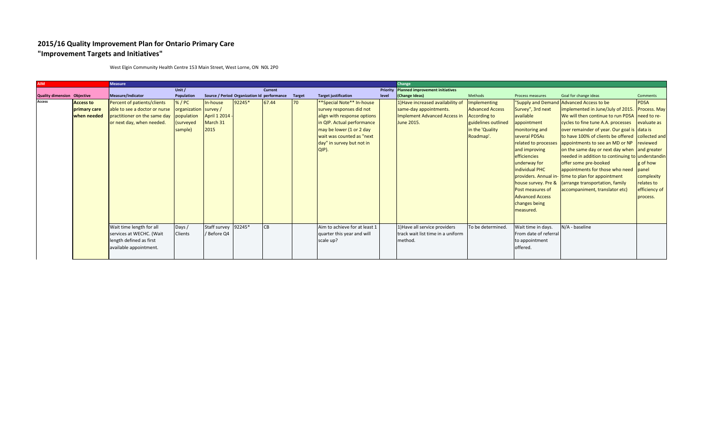## **2015/16 Quality Improvement Plan for Ontario Primary Care "Improvement Targets and Initiatives"**

| <b>AIM</b>                         |                  | <b>Measure</b>                |                       |                     |                                             |                |               |                                        |       | Change                                   |                        |                        |                                                     |                 |
|------------------------------------|------------------|-------------------------------|-----------------------|---------------------|---------------------------------------------|----------------|---------------|----------------------------------------|-------|------------------------------------------|------------------------|------------------------|-----------------------------------------------------|-----------------|
|                                    |                  |                               | Unit /                |                     |                                             | <b>Current</b> |               |                                        |       | Priority Planned improvement initiatives |                        |                        |                                                     |                 |
| <b>Quality dimension Objective</b> |                  | Measure/Indicator             | Population            |                     | Source / Period Organization Id performance |                | <b>Target</b> | <b>Target justification</b>            | level | (Change Ideas)                           | Methods                | Process measures       | Goal for change ideas                               | <b>Comments</b> |
| <b>Access</b>                      | <b>Access to</b> | Percent of patients/clients   | % / PC                | In-house            | 92245*                                      | 67.44          | 70            | **Special Note** In-house              |       | 1) Have increased availability of        | Implementing           |                        | "Supply and Demand Advanced Access to be            | <b>PDSA</b>     |
|                                    | primary care     | able to see a doctor or nurse | organization survey / |                     |                                             |                |               | survey responses did not               |       | same-day appointments.                   | <b>Advanced Access</b> | Survey", 3rd next      | implemented in June/July of 2015. Process. May      |                 |
|                                    | when needed      | practitioner on the same day  | population            | April 1 2014        |                                             |                |               | align with response options            |       | <b>Implement Advanced Access in</b>      | <b>According to</b>    | available              | We will then continue to run PDSA need to re-       |                 |
|                                    |                  | or next day, when needed.     | surveyed              | March 31            |                                             |                |               | in QIP. Actual performance             |       | June 2015.                               | guidelines outlined    | appointment            | cycles to fine tune A.A. processes evaluate as      |                 |
|                                    |                  |                               | sample)               | 2015                |                                             |                |               | $\frac{1}{2}$ may be lower (1 or 2 day |       |                                          | in the 'Quality        | monitoring and         | over remainder of year. Our goal is data is         |                 |
|                                    |                  |                               |                       |                     |                                             |                |               | wait was counted as "next"             |       |                                          | Roadmap'.              | several PDSAs          | to have 100% of clients be offered collected and    |                 |
|                                    |                  |                               |                       |                     |                                             |                |               | day" in survey but not in              |       |                                          |                        | related to processes   | appointments to see an MD or NP                     | reviewed        |
|                                    |                  |                               |                       |                     |                                             |                |               | QIP).                                  |       |                                          |                        | and improving          | on the same day or next day when and greater        |                 |
|                                    |                  |                               |                       |                     |                                             |                |               |                                        |       |                                          |                        | efficiencies           | needed in addition to continuing to understandin    |                 |
|                                    |                  |                               |                       |                     |                                             |                |               |                                        |       |                                          |                        | underway for           | offer some pre-booked                               | g of how        |
|                                    |                  |                               |                       |                     |                                             |                |               |                                        |       |                                          |                        | individual PHC         | appointments for those who need                     | panel           |
|                                    |                  |                               |                       |                     |                                             |                |               |                                        |       |                                          |                        |                        | providers. Annual in-Itime to plan for appointment  | complexity      |
|                                    |                  |                               |                       |                     |                                             |                |               |                                        |       |                                          |                        |                        | house survey. Pre & (arrange transportation, family | relates to      |
|                                    |                  |                               |                       |                     |                                             |                |               |                                        |       |                                          |                        | Post measures of       | accompaniment, translator etc)                      | efficiency of   |
|                                    |                  |                               |                       |                     |                                             |                |               |                                        |       |                                          |                        | <b>Advanced Access</b> |                                                     | process.        |
|                                    |                  |                               |                       |                     |                                             |                |               |                                        |       |                                          |                        | changes being          |                                                     |                 |
|                                    |                  |                               |                       |                     |                                             |                |               |                                        |       |                                          |                        | measured.              |                                                     |                 |
|                                    |                  |                               |                       |                     |                                             |                |               |                                        |       |                                          |                        |                        |                                                     |                 |
|                                    |                  | Wait time length for all      | Days /                | Staff survey 92245* |                                             | CB             |               | Aim to achieve for at least 1          |       | 1) Have all service providers            | To be determined.      | Wait time in days.     | N/A - baseline                                      |                 |
|                                    |                  | services at WECHC. (Wait      | Clients               | / Before Q4         |                                             |                |               | quarter this year and will             |       | track wait list time in a uniform        |                        | From date of referral  |                                                     |                 |
|                                    |                  | length defined as first       |                       |                     |                                             |                |               | scale up?                              |       | method.                                  |                        | to appointment         |                                                     |                 |
|                                    |                  | available appointment.        |                       |                     |                                             |                |               |                                        |       |                                          |                        | offered.               |                                                     |                 |
|                                    |                  |                               |                       |                     |                                             |                |               |                                        |       |                                          |                        |                        |                                                     |                 |
|                                    |                  |                               |                       |                     |                                             |                |               |                                        |       |                                          |                        |                        |                                                     |                 |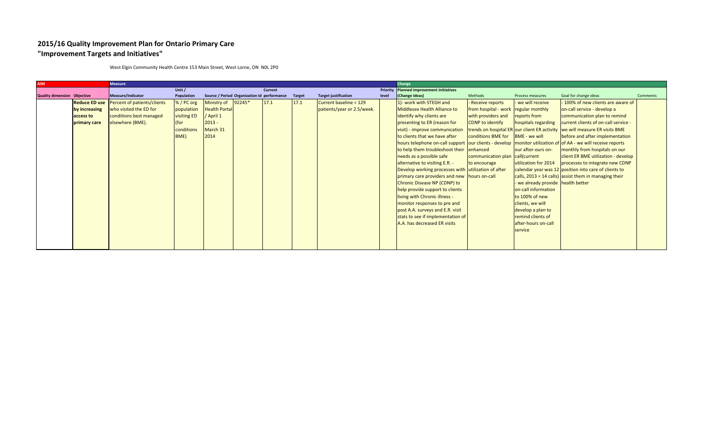## **2015/16 Quality Improvement Plan for Ontario Primary Care "Improvement Targets and Initiatives"**

| <b>AIM</b>                  |                      | <b>Measure</b>              |             |                                             |                |        |                             |       | Change                                                                                                       |                                      |                                    |                                                                            |                 |
|-----------------------------|----------------------|-----------------------------|-------------|---------------------------------------------|----------------|--------|-----------------------------|-------|--------------------------------------------------------------------------------------------------------------|--------------------------------------|------------------------------------|----------------------------------------------------------------------------|-----------------|
|                             |                      |                             | Unit $/$    |                                             | <b>Current</b> |        |                             |       | Priority Planned improvement initiatives                                                                     |                                      |                                    |                                                                            |                 |
| Quality dimension Objective |                      | Measure/Indicator           | Population  | Source / Period Organization Id performance |                | Target | <b>Target justification</b> | level | (Change Ideas)                                                                                               | Methods                              | Process measures                   | Goal for change ideas                                                      | <b>Comments</b> |
|                             | <b>Reduce ED use</b> | Percent of patients/clients | %/PC org    | Ministry of 92245*                          | 17.1           | 17.1   | Current baseline = 129      |       | 1)- work with STEGH and                                                                                      | - Receive reports                    | - we will receive                  | 100% of new clients are aware of                                           |                 |
|                             | by increasing        | who visited the ED for      | population  | <b>Health Portal</b>                        |                |        | patients/year or 2.5/week.  |       | Middlesex Health Alliance to                                                                                 | from hospital - work regular monthly |                                    | on-call service - develop a                                                |                 |
|                             | access to            | conditions best managed     | visiting ED | / April 1                                   |                |        |                             |       | identify why clients are                                                                                     | with providers and                   | reports from                       | communication plan to remind                                               |                 |
|                             | primary care         | elsewhere (BME).            | (for        | $2013 -$                                    |                |        |                             |       | presenting to ER (reason for                                                                                 | <b>CDNP</b> to identify              | hospitals regarding                | current clients of on-call service -                                       |                 |
|                             |                      |                             | conditions  | March 31                                    |                |        |                             |       | visit) - improve communication                                                                               |                                      |                                    | trends on hospital ER our client ER activity we will measure ER visits BME |                 |
|                             |                      |                             | BME)        | 2014                                        |                |        |                             |       | to clients that we have after                                                                                | conditions BME for                   | <b>BME</b> - we will               | before and after implementation                                            |                 |
|                             |                      |                             |             |                                             |                |        |                             |       | hours telephone on-call support our clients - develop monitor utilization of of AA - we will receive reports |                                      |                                    |                                                                            |                 |
|                             |                      |                             |             |                                             |                |        |                             |       | to help them troubleshoot their enhanced                                                                     |                                      | our after-ours on-                 | monthly from hospitals on our                                              |                 |
|                             |                      |                             |             |                                             |                |        |                             |       | needs as a possible safe                                                                                     | communication plan call(current      |                                    | client ER BME utilization - develop                                        |                 |
|                             |                      |                             |             |                                             |                |        |                             |       | alternative to visiting E.R. -                                                                               | to encourage                         | utilization for 2014               | processes to integrate new CDNP                                            |                 |
|                             |                      |                             |             |                                             |                |        |                             |       | Develop working processes with utilization of after                                                          |                                      |                                    | calendar year was 12 position into care of clients to                      |                 |
|                             |                      |                             |             |                                             |                |        |                             |       | primary care providers and new hours on-call                                                                 |                                      |                                    | calls, $2013 = 14$ calls) assist them in managing their                    |                 |
|                             |                      |                             |             |                                             |                |        |                             |       | Chronic Disease NP (CDNP) to                                                                                 |                                      | - we already provide health better |                                                                            |                 |
|                             |                      |                             |             |                                             |                |        |                             |       | help provide support to clients                                                                              |                                      | on-call information                |                                                                            |                 |
|                             |                      |                             |             |                                             |                |        |                             |       | living with Chronic illness -                                                                                |                                      | to 100% of new                     |                                                                            |                 |
|                             |                      |                             |             |                                             |                |        |                             |       | monitor responses to pre and                                                                                 |                                      | clients, we will                   |                                                                            |                 |
|                             |                      |                             |             |                                             |                |        |                             |       | post A.A. surveys and E.R. visit                                                                             |                                      | develop a plan to                  |                                                                            |                 |
|                             |                      |                             |             |                                             |                |        |                             |       | stats to see if implementation of                                                                            |                                      | remind clients of                  |                                                                            |                 |
|                             |                      |                             |             |                                             |                |        |                             |       | A.A. has decreased ER visits                                                                                 |                                      | after-hours on-call                |                                                                            |                 |
|                             |                      |                             |             |                                             |                |        |                             |       |                                                                                                              |                                      | service                            |                                                                            |                 |
|                             |                      |                             |             |                                             |                |        |                             |       |                                                                                                              |                                      |                                    |                                                                            |                 |
|                             |                      |                             |             |                                             |                |        |                             |       |                                                                                                              |                                      |                                    |                                                                            |                 |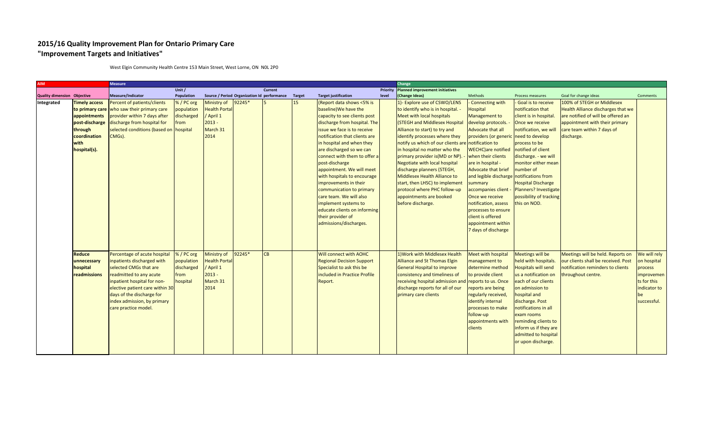## **2015/16 Quality Improvement Plan for Ontario Primary Care "Improvement Targets and Initiatives"**

| <b>AIM</b>                         |                                                                                                                              | <b>Measure</b>                                                                                                                                                                                                                                                        |                                                          |                                                                                |                                             |           |               |                                                                                                                                                                                                                                                                                                                                                                                                                                                                                                                                                  |       | Change                                                                                                                                                                                                                                                                                                                                                                                                                                                                                                                       |                                                                                                                                                                                                                                                                                                                                                                                                                                                                              |                                                                                                                                                                                                                                                                                                                         |                                                                                                                                                                                      |                                                                                                    |
|------------------------------------|------------------------------------------------------------------------------------------------------------------------------|-----------------------------------------------------------------------------------------------------------------------------------------------------------------------------------------------------------------------------------------------------------------------|----------------------------------------------------------|--------------------------------------------------------------------------------|---------------------------------------------|-----------|---------------|--------------------------------------------------------------------------------------------------------------------------------------------------------------------------------------------------------------------------------------------------------------------------------------------------------------------------------------------------------------------------------------------------------------------------------------------------------------------------------------------------------------------------------------------------|-------|------------------------------------------------------------------------------------------------------------------------------------------------------------------------------------------------------------------------------------------------------------------------------------------------------------------------------------------------------------------------------------------------------------------------------------------------------------------------------------------------------------------------------|------------------------------------------------------------------------------------------------------------------------------------------------------------------------------------------------------------------------------------------------------------------------------------------------------------------------------------------------------------------------------------------------------------------------------------------------------------------------------|-------------------------------------------------------------------------------------------------------------------------------------------------------------------------------------------------------------------------------------------------------------------------------------------------------------------------|--------------------------------------------------------------------------------------------------------------------------------------------------------------------------------------|----------------------------------------------------------------------------------------------------|
|                                    |                                                                                                                              |                                                                                                                                                                                                                                                                       | Unit /                                                   |                                                                                |                                             | Current   |               |                                                                                                                                                                                                                                                                                                                                                                                                                                                                                                                                                  |       | Priority Planned improvement initiatives                                                                                                                                                                                                                                                                                                                                                                                                                                                                                     |                                                                                                                                                                                                                                                                                                                                                                                                                                                                              |                                                                                                                                                                                                                                                                                                                         |                                                                                                                                                                                      |                                                                                                    |
| <b>Quality dimension Objective</b> |                                                                                                                              | Measure/Indicator                                                                                                                                                                                                                                                     | Population                                               |                                                                                | Source / Period Organization Id performance |           | <b>Target</b> | <b>Target justification</b>                                                                                                                                                                                                                                                                                                                                                                                                                                                                                                                      | level | (Change Ideas)                                                                                                                                                                                                                                                                                                                                                                                                                                                                                                               | Methods                                                                                                                                                                                                                                                                                                                                                                                                                                                                      | Process measures                                                                                                                                                                                                                                                                                                        | Goal for change ideas                                                                                                                                                                | <b>Comments</b>                                                                                    |
| Integrated                         | <b>Timely access</b><br>to primary care<br>appointments<br>post-discharge<br>through<br>coordination<br>with<br>hospital(s). | Percent of patients/clients<br>who saw their primary care<br>provider within 7 days after<br>discharge from hospital for<br>selected conditions (based on hospital<br>CMGs).                                                                                          | %/PC org<br>population<br>discharged<br>from             | Ministry of<br><b>Health Portal</b><br>April 1<br>$2013 -$<br>March 31<br>2014 | 92245*                                      |           | 15            | (Report data shows <5% is<br>baseline) We have the<br>capacity to see clients post<br>discharge from hospital. The<br>issue we face is to receive<br>notification that clients are<br>in hospital and when they<br>are discharged so we can<br>connect with them to offer a<br>post-discharge<br>appointment. We will meet<br>with hospitals to encourage<br>improvements in their<br>communication to primary<br>care team. We will also<br>implement systems to<br>educate clients on informing<br>their provider of<br>admissions/discharges. |       | 1)- Explore use of CSWO/LENS<br>to identify who is in hospital. -<br>Meet with local hospitals<br>(STEGH and Middlesex Hospital<br>Alliance to start) to try and<br>identify processes where they<br>notify us which of our clients are<br>in hospital no matter who the<br>primary provider is (MD or NP).<br>Negotiate with local hospital<br>discharge planners (STEGH,<br>Middlesex Health Alliance to<br>start, then LHSC) to implement<br>protocol where PHC follow-up<br>appointments are booked<br>before discharge. | Connecting with<br>Hospital<br>Management to<br>develop protocols.<br>Advocate that all<br>providers (or generic need to develop<br>notification to<br><b>WECHC</b> ) are notified<br>when their clients<br>are in hospital -<br><b>Advocate that brief</b><br>and legible discharge notifications from<br>summary<br>accompanies client<br>Once we receive<br>notification, assess<br>processes to ensure<br>client is offered<br>appointment within<br>7 days of discharge | - Goal is to receive<br>notification that<br>client is in hospital.<br>Once we receive<br>notification, we will<br>process to be<br>notified of client<br>discharge. - we will<br>monitor either mean<br>number of<br><b>Hospital Discharge</b><br>Planners? Investigate<br>possibility of tracking<br>this on NOD.     | 100% of STEGH or Middlesex<br>Health Alliance discharges that we<br>are notified of will be offered an<br>appointment with their primary<br>care team within 7 days of<br>discharge. |                                                                                                    |
|                                    | <b>Reduce</b><br>unnecessary<br>hospital<br>readmissions                                                                     | Percentage of acute hospital<br>inpatients discharged with<br>selected CMGs that are<br>readmitted to any acute<br>inpatient hospital for non-<br>elective patient care within 30<br>days of the discharge for<br>index admission, by primary<br>care practice model. | %/PC org<br>population<br>discharged<br>from<br>hospital | Ministry of<br><b>Health Portal</b><br>April 1<br>$2013 -$<br>March 31<br>2014 | 92245*                                      | <b>CB</b> |               | <b>Will connect with AOHC</b><br><b>Regional Decision Support</b><br>Specialist to ask this be<br>included in Practice Profile<br>Report.                                                                                                                                                                                                                                                                                                                                                                                                        |       | 1) Work with Middlesex Health<br>Alliance and St Thomas Elgin<br><b>General Hospital to improve</b><br>consistency and timeliness of<br>receiving hospital admission and<br>discharge reports for all of our<br>primary care clients                                                                                                                                                                                                                                                                                         | <b>Meet with hospital</b><br>management to<br>determine method<br>to provide client<br>reports to us. Once<br>reports are being<br>regularly received,<br>identify internal<br>processes to make<br>follow-up<br>appointments with<br>clients                                                                                                                                                                                                                                | <b>Meetings will be</b><br>held with hospitals.<br><b>Hospitals will send</b><br>us a notification on<br>each of our clients<br>on admission to<br>hospital and<br>discharge. Post<br>notifications in all<br>exam rooms<br>reminding clients to<br>inform us if they are<br>admitted to hospital<br>or upon discharge. | Meetings will be held. Reports on<br>our clients shall be received. Post<br>notification reminders to clients<br>hroughout centre.                                                   | We will rely<br>on hospital<br>process<br>improvemen<br>ts for this<br>indicator to<br>successful. |